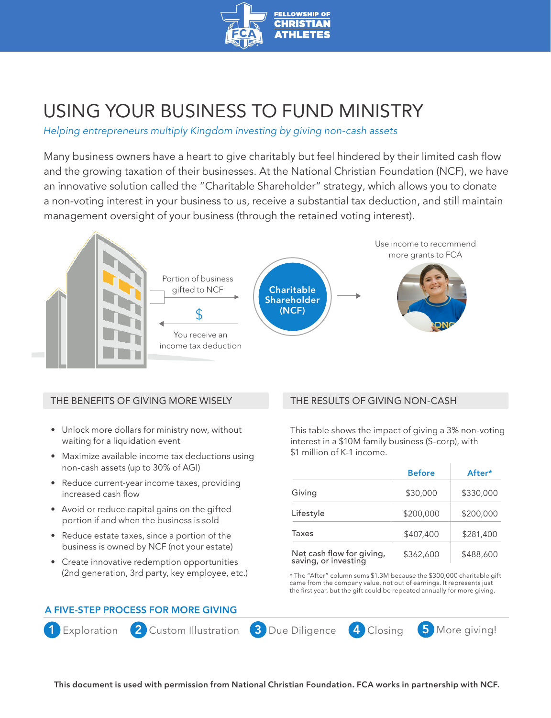

# USING YOUR BUSINESS TO FUND MINISTRY

*Helping entrepreneurs multiply Kingdom investing by giving non-cash assets*

Many business owners have a heart to give charitably but feel hindered by their limited cash flow and the growing taxation of their businesses. At the National Christian Foundation (NCF), we have an innovative solution called the "Charitable Shareholder" strategy, which allows you to donate a non-voting interest in your business to us, receive a substantial tax deduction, and still maintain management oversight of your business (through the retained voting interest).



#### THE BENEFITS OF GIVING MORE WISELY

- Unlock more dollars for ministry now, without waiting for a liquidation event
- Maximize available income tax deductions using non-cash assets (up to 30% of AGI)
- Reduce current-year income taxes, providing increased cash flow
- Avoid or reduce capital gains on the gifted portion if and when the business is sold
- Reduce estate taxes, since a portion of the business is owned by NCF (not your estate)
- Create innovative redemption opportunities (2nd generation, 3rd party, key employee, etc.)

## THE RESULTS OF GIVING NON-CASH

This table shows the impact of giving a 3% non-voting interest in a \$10M family business (S-corp), with \$1 million of K-1 income.

|                                                   | <b>Before</b> | After*    |
|---------------------------------------------------|---------------|-----------|
| Giving                                            | \$30,000      | \$330,000 |
| Lifestyle                                         | \$200,000     | \$200,000 |
| Taxes                                             | \$407,400     | \$281,400 |
| Net cash flow for giving,<br>saving, or investing | \$362,600     | \$488,600 |

\* The "After" column sums \$1.3M because the \$300,000 charitable gift came from the company value, not out of earnings. It represents just the first year, but the gift could be repeated annually for more giving.

## A FIVE-STEP PROCESS FOR MORE GIVING